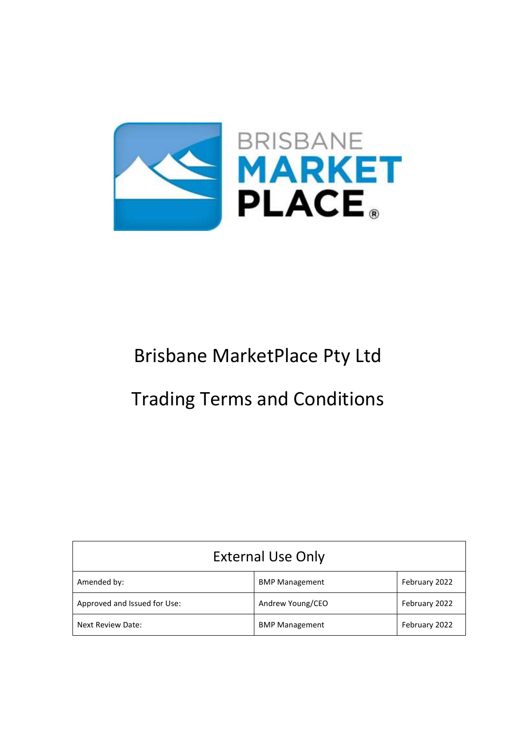

# Brisbane MarketPlace Pty Ltd

# Trading Terms and Conditions

| <b>External Use Only</b>     |                       |               |
|------------------------------|-----------------------|---------------|
| Amended by:                  | <b>BMP Management</b> | February 2022 |
| Approved and Issued for Use: | Andrew Young/CEO      | February 2022 |
| Next Review Date:            | <b>BMP Management</b> | February 2022 |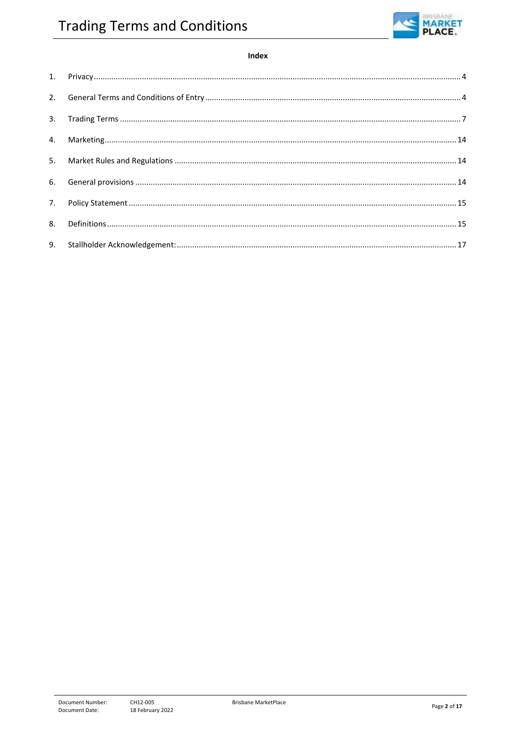

## Index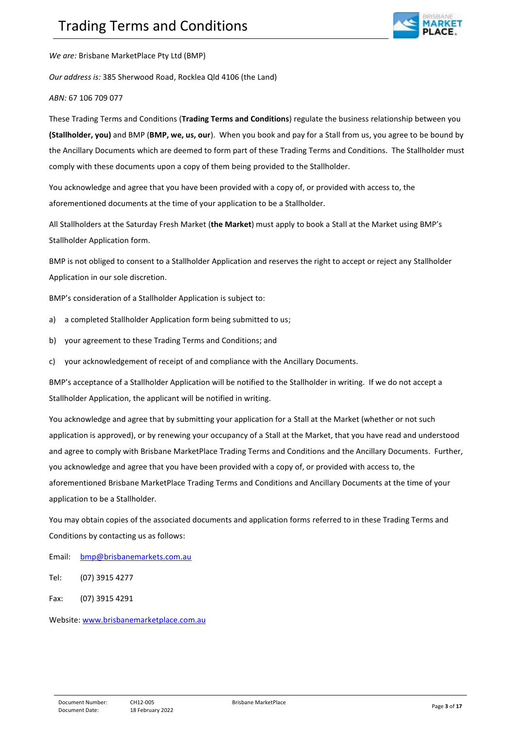

*We are:* Brisbane MarketPlace Pty Ltd (BMP)

*Our address is:* 385 Sherwood Road, Rocklea Qld 4106 (the Land)

*ABN:* 67 106 709 077

These Trading Terms and Conditions (**Trading Terms and Conditions**) regulate the business relationship between you **(Stallholder, you)** and BMP (**BMP, we, us, our**). When you book and pay for a Stall from us, you agree to be bound by the Ancillary Documents which are deemed to form part of these Trading Terms and Conditions. The Stallholder must comply with these documents upon a copy of them being provided to the Stallholder.

You acknowledge and agree that you have been provided with a copy of, or provided with access to, the aforementioned documents at the time of your application to be a Stallholder.

All Stallholders at the Saturday Fresh Market (**the Market**) must apply to book a Stall at the Market using BMP's Stallholder Application form.

BMP is not obliged to consent to a Stallholder Application and reserves the right to accept or reject any Stallholder Application in our sole discretion.

BMP's consideration of a Stallholder Application is subject to:

- a) a completed Stallholder Application form being submitted to us:
- b) your agreement to these Trading Terms and Conditions; and
- c) your acknowledgement of receipt of and compliance with the Ancillary Documents.

BMP's acceptance of a Stallholder Application will be notified to the Stallholder in writing. If we do not accept a Stallholder Application, the applicant will be notified in writing.

You acknowledge and agree that by submitting your application for a Stall at the Market (whether or not such application is approved), or by renewing your occupancy of a Stall at the Market, that you have read and understood and agree to comply with Brisbane MarketPlace Trading Terms and Conditions and the Ancillary Documents. Further, you acknowledge and agree that you have been provided with a copy of, or provided with access to, the aforementioned Brisbane MarketPlace Trading Terms and Conditions and Ancillary Documents at the time of your application to be a Stallholder.

You may obtain copies of the associated documents and application forms referred to in these Trading Terms and Conditions by contacting us as follows:

- Email: [bmp@brisbanemarkets.com.au](mailto:bmp@brisbanemarkets.com.au)
- Tel: (07) 3915 4277
- Fax: (07) 3915 4291

Website: [www.brisbanemarketplace.com.au](http://www.brisbanemarketplace.com.au/)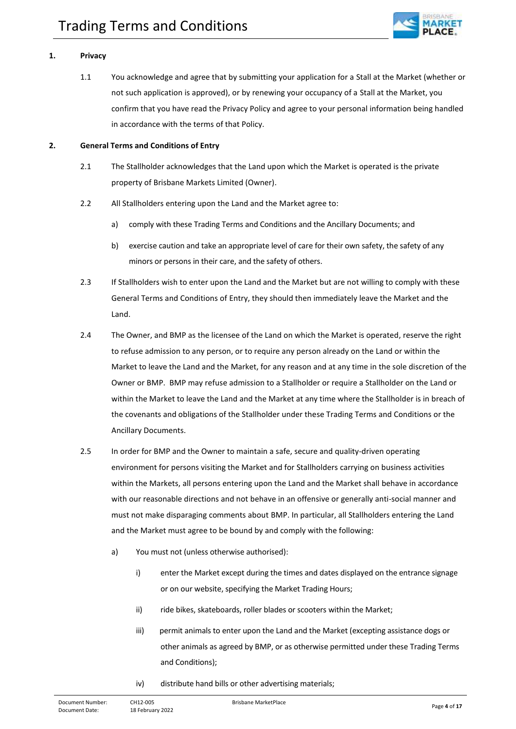

## <span id="page-3-0"></span>**1. Privacy**

1.1 You acknowledge and agree that by submitting your application for a Stall at the Market (whether or not such application is approved), or by renewing your occupancy of a Stall at the Market, you confirm that you have read the Privacy Policy and agree to your personal information being handled in accordance with the terms of that Policy.

#### <span id="page-3-1"></span>**2. General Terms and Conditions of Entry**

- 2.1 The Stallholder acknowledges that the Land upon which the Market is operated is the private property of Brisbane Markets Limited (Owner).
- 2.2 All Stallholders entering upon the Land and the Market agree to:
	- a) comply with these Trading Terms and Conditions and the Ancillary Documents; and
	- b) exercise caution and take an appropriate level of care for their own safety, the safety of any minors or persons in their care, and the safety of others.
- 2.3 If Stallholders wish to enter upon the Land and the Market but are not willing to comply with these General Terms and Conditions of Entry, they should then immediately leave the Market and the Land.
- 2.4 The Owner, and BMP as the licensee of the Land on which the Market is operated, reserve the right to refuse admission to any person, or to require any person already on the Land or within the Market to leave the Land and the Market, for any reason and at any time in the sole discretion of the Owner or BMP. BMP may refuse admission to a Stallholder or require a Stallholder on the Land or within the Market to leave the Land and the Market at any time where the Stallholder is in breach of the covenants and obligations of the Stallholder under these Trading Terms and Conditions or the Ancillary Documents.
- 2.5 In order for BMP and the Owner to maintain a safe, secure and quality-driven operating environment for persons visiting the Market and for Stallholders carrying on business activities within the Markets, all persons entering upon the Land and the Market shall behave in accordance with our reasonable directions and not behave in an offensive or generally anti-social manner and must not make disparaging comments about BMP. In particular, all Stallholders entering the Land and the Market must agree to be bound by and comply with the following:
	- a) You must not (unless otherwise authorised):
		- i) enter the Market except during the times and dates displayed on the entrance signage or on our website, specifying the Market Trading Hours;
		- ii) ride bikes, skateboards, roller blades or scooters within the Market;
		- iii) permit animals to enter upon the Land and the Market (excepting assistance dogs or other animals as agreed by BMP, or as otherwise permitted under these Trading Terms and Conditions);
		- iv) distribute hand bills or other advertising materials;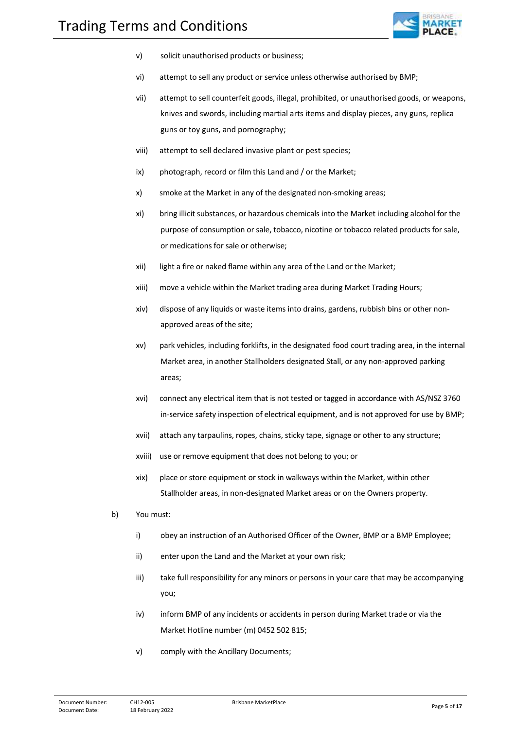

- v) solicit unauthorised products or business;
- vi) attempt to sell any product or service unless otherwise authorised by BMP;
- vii) attempt to sell counterfeit goods, illegal, prohibited, or unauthorised goods, or weapons, knives and swords, including martial arts items and display pieces, any guns, replica guns or toy guns, and pornography;
- viii) attempt to sell declared invasive plant or pest species;
- ix) photograph, record or film this Land and / or the Market;
- x) smoke at the Market in any of the designated non-smoking areas;
- xi) bring illicit substances, or hazardous chemicals into the Market including alcohol for the purpose of consumption or sale, tobacco, nicotine or tobacco related products for sale, or medications for sale or otherwise;
- xii) light a fire or naked flame within any area of the Land or the Market;
- xiii) move a vehicle within the Market trading area during Market Trading Hours;
- xiv) dispose of any liquids or waste items into drains, gardens, rubbish bins or other nonapproved areas of the site;
- xv) park vehicles, including forklifts, in the designated food court trading area, in the internal Market area, in another Stallholders designated Stall, or any non-approved parking areas;
- xvi) connect any electrical item that is not tested or tagged in accordance with AS/NSZ 3760 in-service safety inspection of electrical equipment, and is not approved for use by BMP;
- xvii) attach any tarpaulins, ropes, chains, sticky tape, signage or other to any structure;
- xviii) use or remove equipment that does not belong to you; or
- xix) place or store equipment or stock in walkways within the Market, within other Stallholder areas, in non-designated Market areas or on the Owners property.
- b) You must:
	- i) obey an instruction of an Authorised Officer of the Owner, BMP or a BMP Employee;
	- ii) enter upon the Land and the Market at your own risk;
	- iii) take full responsibility for any minors or persons in your care that may be accompanying you;
	- iv) inform BMP of any incidents or accidents in person during Market trade or via the Market Hotline number (m) 0452 502 815;
	- v) comply with the Ancillary Documents;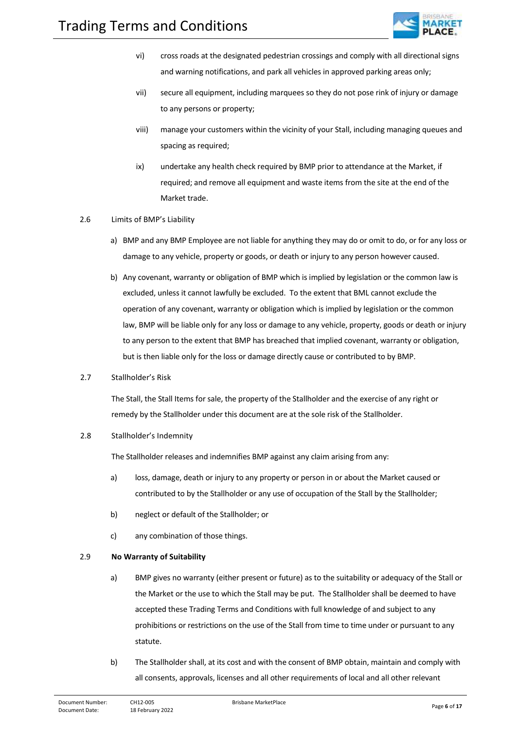

- vi) cross roads at the designated pedestrian crossings and comply with all directional signs and warning notifications, and park all vehicles in approved parking areas only;
- vii) secure all equipment, including marquees so they do not pose rink of injury or damage to any persons or property;
- viii) manage your customers within the vicinity of your Stall, including managing queues and spacing as required;
- ix) undertake any health check required by BMP prior to attendance at the Market, if required; and remove all equipment and waste items from the site at the end of the Market trade.
- 2.6 Limits of BMP's Liability
	- a) BMP and any BMP Employee are not liable for anything they may do or omit to do, or for any loss or damage to any vehicle, property or goods, or death or injury to any person however caused.
	- b) Any covenant, warranty or obligation of BMP which is implied by legislation or the common law is excluded, unless it cannot lawfully be excluded. To the extent that BML cannot exclude the operation of any covenant, warranty or obligation which is implied by legislation or the common law, BMP will be liable only for any loss or damage to any vehicle, property, goods or death or injury to any person to the extent that BMP has breached that implied covenant, warranty or obligation, but is then liable only for the loss or damage directly cause or contributed to by BMP.
- 2.7 Stallholder's Risk

The Stall, the Stall Items for sale, the property of the Stallholder and the exercise of any right or remedy by the Stallholder under this document are at the sole risk of the Stallholder.

2.8 Stallholder's Indemnity

The Stallholder releases and indemnifies BMP against any claim arising from any:

- a) loss, damage, death or injury to any property or person in or about the Market caused or contributed to by the Stallholder or any use of occupation of the Stall by the Stallholder;
- b) neglect or default of the Stallholder; or
- c) any combination of those things.

## 2.9 **No Warranty of Suitability**

- a) BMP gives no warranty (either present or future) as to the suitability or adequacy of the Stall or the Market or the use to which the Stall may be put. The Stallholder shall be deemed to have accepted these Trading Terms and Conditions with full knowledge of and subject to any prohibitions or restrictions on the use of the Stall from time to time under or pursuant to any statute.
- b) The Stallholder shall, at its cost and with the consent of BMP obtain, maintain and comply with all consents, approvals, licenses and all other requirements of local and all other relevant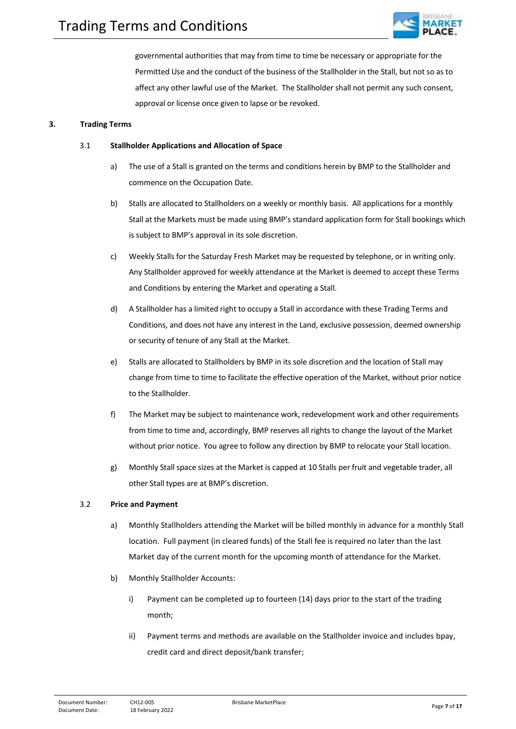

governmental authorities that may from time to time be necessary or appropriate for the Permitted Use and the conduct of the business of the Stallholder in the Stall, but not so as to affect any other lawful use of the Market. The Stallholder shall not permit any such consent, approval or license once given to lapse or be revoked.

#### <span id="page-6-0"></span>**3. Trading Terms**

#### 3.1 **Stallholder Applications and Allocation of Space**

- a) The use of a Stall is granted on the terms and conditions herein by BMP to the Stallholder and commence on the Occupation Date.
- b) Stalls are allocated to Stallholders on a weekly or monthly basis. All applications for a monthly Stall at the Markets must be made using BMP's standard application form for Stall bookings which is subject to BMP's approval in its sole discretion.
- c) Weekly Stalls for the Saturday Fresh Market may be requested by telephone, or in writing only. Any Stallholder approved for weekly attendance at the Market is deemed to accept these Terms and Conditions by entering the Market and operating a Stall.
- d) A Stallholder has a limited right to occupy a Stall in accordance with these Trading Terms and Conditions, and does not have any interest in the Land, exclusive possession, deemed ownership or security of tenure of any Stall at the Market.
- e) Stalls are allocated to Stallholders by BMP in its sole discretion and the location of Stall may change from time to time to facilitate the effective operation of the Market, without prior notice to the Stallholder.
- f) The Market may be subject to maintenance work, redevelopment work and other requirements from time to time and, accordingly, BMP reserves all rights to change the layout of the Market without prior notice. You agree to follow any direction by BMP to relocate your Stall location.
- g) Monthly Stall space sizes at the Market is capped at 10 Stalls per fruit and vegetable trader, all other Stall types are at BMP's discretion.

#### 3.2 **Price and Payment**

- a) Monthly Stallholders attending the Market will be billed monthly in advance for a monthly Stall location. Full payment (in cleared funds) of the Stall fee is required no later than the last Market day of the current month for the upcoming month of attendance for the Market.
- b) Monthly Stallholder Accounts:
	- i) Payment can be completed up to fourteen (14) days prior to the start of the trading month;
	- ii) Payment terms and methods are available on the Stallholder invoice and includes bpay, credit card and direct deposit/bank transfer;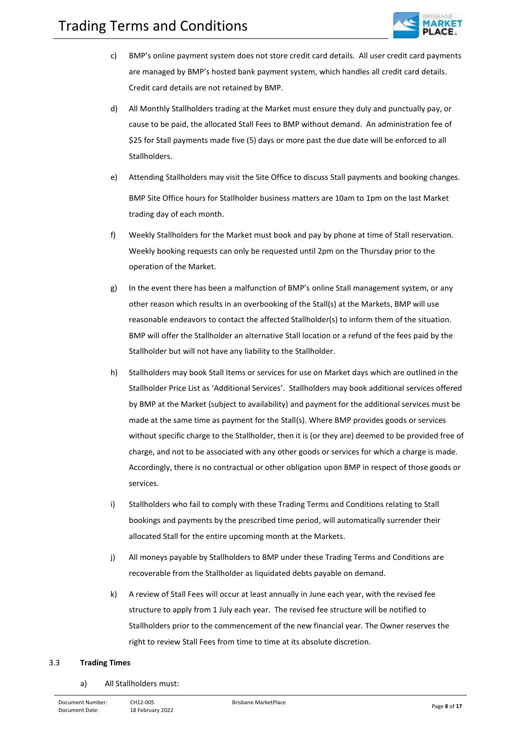

- c) BMP's online payment system does not store credit card details. All user credit card payments are managed by BMP's hosted bank payment system, which handles all credit card details. Credit card details are not retained by BMP.
- d) All Monthly Stallholders trading at the Market must ensure they duly and punctually pay, or cause to be paid, the allocated Stall Fees to BMP without demand. An administration fee of \$25 for Stall payments made five (5) days or more past the due date will be enforced to all Stallholders.
- e) Attending Stallholders may visit the Site Office to discuss Stall payments and booking changes. BMP Site Office hours for Stallholder business matters are 10am to 1pm on the last Market trading day of each month.
- f) Weekly Stallholders for the Market must book and pay by phone at time of Stall reservation. Weekly booking requests can only be requested until 2pm on the Thursday prior to the operation of the Market.
- g) In the event there has been a malfunction of BMP's online Stall management system, or any other reason which results in an overbooking of the Stall(s) at the Markets, BMP will use reasonable endeavors to contact the affected Stallholder(s) to inform them of the situation. BMP will offer the Stallholder an alternative Stall location or a refund of the fees paid by the Stallholder but will not have any liability to the Stallholder.
- h) Stallholders may book Stall Items or services for use on Market days which are outlined in the Stallholder Price List as 'Additional Services'. Stallholders may book additional services offered by BMP at the Market (subject to availability) and payment for the additional services must be made at the same time as payment for the Stall(s). Where BMP provides goods or services without specific charge to the Stallholder, then it is (or they are) deemed to be provided free of charge, and not to be associated with any other goods or services for which a charge is made. Accordingly, there is no contractual or other obligation upon BMP in respect of those goods or services.
- i) Stallholders who fail to comply with these Trading Terms and Conditions relating to Stall bookings and payments by the prescribed time period, will automatically surrender their allocated Stall for the entire upcoming month at the Markets.
- j) All moneys payable by Stallholders to BMP under these Trading Terms and Conditions are recoverable from the Stallholder as liquidated debts payable on demand.
- k) A review of Stall Fees will occur at least annually in June each year, with the revised fee structure to apply from 1 July each year. The revised fee structure will be notified to Stallholders prior to the commencement of the new financial year. The Owner reserves the right to review Stall Fees from time to time at its absolute discretion.

#### 3.3 **Trading Times**

a) All Stallholders must: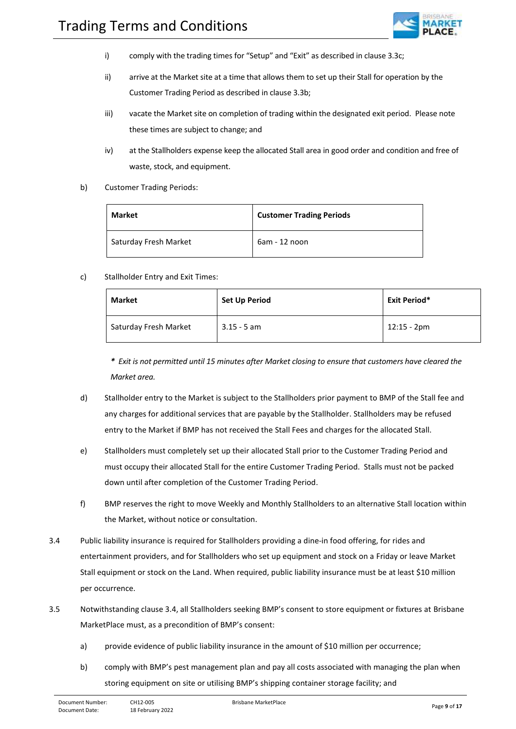

- i) comply with the trading times for "Setup" and "Exit" as described in clause 3.3c;
- ii) arrive at the Market site at a time that allows them to set up their Stall for operation by the Customer Trading Period as described in clause 3.3b;
- iii) vacate the Market site on completion of trading within the designated exit period. Please note these times are subject to change; and
- iv) at the Stallholders expense keep the allocated Stall area in good order and condition and free of waste, stock, and equipment.
- b) Customer Trading Periods:

| <b>Market</b>         | <b>Customer Trading Periods</b> |
|-----------------------|---------------------------------|
| Saturday Fresh Market | 6am - 12 noon                   |

c) Stallholder Entry and Exit Times:

| <b>Market</b>         | <b>Set Up Period</b> | <b>Exit Period*</b> |
|-----------------------|----------------------|---------------------|
| Saturday Fresh Market | $3.15 - 5$ am        | 12:15 - 2pm         |

*\* Exit is not permitted until 15 minutes after Market closing to ensure that customers have cleared the Market area.*

- d) Stallholder entry to the Market is subject to the Stallholders prior payment to BMP of the Stall fee and any charges for additional services that are payable by the Stallholder. Stallholders may be refused entry to the Market if BMP has not received the Stall Fees and charges for the allocated Stall.
- e) Stallholders must completely set up their allocated Stall prior to the Customer Trading Period and must occupy their allocated Stall for the entire Customer Trading Period. Stalls must not be packed down until after completion of the Customer Trading Period.
- f) BMP reserves the right to move Weekly and Monthly Stallholders to an alternative Stall location within the Market, without notice or consultation.
- 3.4 Public liability insurance is required for Stallholders providing a dine-in food offering, for rides and entertainment providers, and for Stallholders who set up equipment and stock on a Friday or leave Market Stall equipment or stock on the Land. When required, public liability insurance must be at least \$10 million per occurrence.
- 3.5 Notwithstanding clause 3.4, all Stallholders seeking BMP's consent to store equipment or fixtures at Brisbane MarketPlace must, as a precondition of BMP's consent:
	- a) provide evidence of public liability insurance in the amount of \$10 million per occurrence;
	- b) comply with BMP's pest management plan and pay all costs associated with managing the plan when storing equipment on site or utilising BMP's shipping container storage facility; and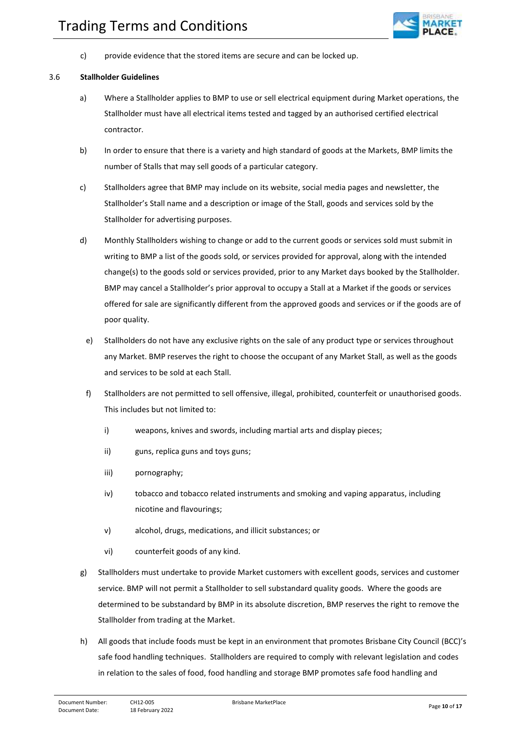

c) provide evidence that the stored items are secure and can be locked up.

#### 3.6 **Stallholder Guidelines**

- a) Where a Stallholder applies to BMP to use or sell electrical equipment during Market operations, the Stallholder must have all electrical items tested and tagged by an authorised certified electrical contractor.
- b) In order to ensure that there is a variety and high standard of goods at the Markets, BMP limits the number of Stalls that may sell goods of a particular category.
- c) Stallholders agree that BMP may include on its website, social media pages and newsletter, the Stallholder's Stall name and a description or image of the Stall, goods and services sold by the Stallholder for advertising purposes.
- d) Monthly Stallholders wishing to change or add to the current goods or services sold must submit in writing to BMP a list of the goods sold, or services provided for approval, along with the intended change(s) to the goods sold or services provided, prior to any Market days booked by the Stallholder. BMP may cancel a Stallholder's prior approval to occupy a Stall at a Market if the goods or services offered for sale are significantly different from the approved goods and services or if the goods are of poor quality.
	- e) Stallholders do not have any exclusive rights on the sale of any product type or services throughout any Market. BMP reserves the right to choose the occupant of any Market Stall, as well as the goods and services to be sold at each Stall.
	- f) Stallholders are not permitted to sell offensive, illegal, prohibited, counterfeit or unauthorised goods. This includes but not limited to:
		- i) weapons, knives and swords, including martial arts and display pieces;
		- ii) guns, replica guns and toys guns;
		- iii) pornography;
		- iv) tobacco and tobacco related instruments and smoking and vaping apparatus, including nicotine and flavourings;
		- v) alcohol, drugs, medications, and illicit substances; or
		- vi) counterfeit goods of any kind.
- g) Stallholders must undertake to provide Market customers with excellent goods, services and customer service. BMP will not permit a Stallholder to sell substandard quality goods. Where the goods are determined to be substandard by BMP in its absolute discretion, BMP reserves the right to remove the Stallholder from trading at the Market.
- h) All goods that include foods must be kept in an environment that promotes Brisbane City Council (BCC)'s safe food handling techniques. Stallholders are required to comply with relevant legislation and codes in relation to the sales of food, food handling and storage BMP promotes safe food handling and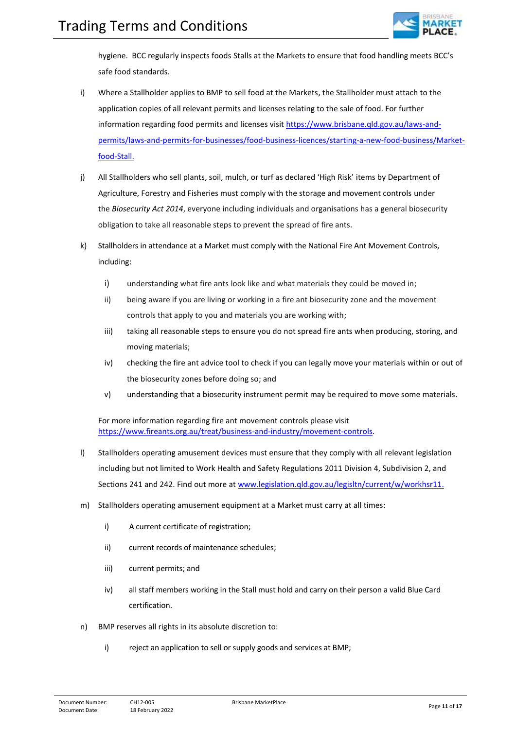

hygiene. BCC regularly inspects foods Stalls at the Markets to ensure that food handling meets BCC's safe food standards.

- i) Where a Stallholder applies to BMP to sell food at the Markets, the Stallholder must attach to the application copies of all relevant permits and licenses relating to the sale of food. For further information regarding food permits and licenses visit [https://www.brisbane.qld.gov.au/laws-and](https://www.brisbane.qld.gov.au/laws-and-permits/laws-and-permits-for-businesses/food-business-licences/starting-a-new-food-business/market-food-stall)[permits/laws-and-permits-for-businesses/food-business-licences/starting-a-new-food-business/Market](https://www.brisbane.qld.gov.au/laws-and-permits/laws-and-permits-for-businesses/food-business-licences/starting-a-new-food-business/market-food-stall)[food-Stall.](https://www.brisbane.qld.gov.au/laws-and-permits/laws-and-permits-for-businesses/food-business-licences/starting-a-new-food-business/market-food-stall)
- j) All Stallholders who sell plants, soil, mulch, or turf as declared 'High Risk' items by Department of Agriculture, Forestry and Fisheries must comply with the storage and movement controls under the *[Biosecurity Act 2014](https://www.legislation.qld.gov.au/view/html/inforce/current/act-2014-007)*, everyone including individuals and organisations has a general biosecurity obligation to take all reasonable steps to prevent the spread of fire ants.
- k) Stallholders in attendance at a Market must comply with the National Fire Ant Movement Controls, including:
	- i) understanding what fire ants look like and what materials they could be moved in;
	- ii) being aware if you are living or working in a fire ant biosecurity zone and the movement controls that apply to you and materials you are working with;
	- iii) taking all reasonable steps to ensure you do not spread fire ants when producing, storing, and moving materials;
	- iv) checking the fire ant advice tool to check if you can legally move your materials within or out of the biosecurity zones before doing so; and
	- v) understanding that a biosecurity instrument permit may be required to move some materials.

For more information regarding fire ant movement controls please visit [https://www.fireants.org.au/treat/business-and-industry/movement-controls.](https://www.fireants.org.au/treat/business-and-industry/movement-controls)

- l) Stallholders operating amusement devices must ensure that they comply with all relevant legislation including but not limited to Work Health and Safety Regulations 2011 Division 4, Subdivision 2, and Sections 241 and 242. Find out more a[t www.legislation.qld.gov.au/legisltn/current/w/workhsr11.](http://www.legislation.qld.gov.au/legisltn/current/w/workhsr11)
- m) Stallholders operating amusement equipment at a Market must carry at all times:
	- i) A current certificate of registration;
	- ii) current records of maintenance schedules;
	- iii) current permits; and
	- iv) all staff members working in the Stall must hold and carry on their person a valid Blue Card certification.
- n) BMP reserves all rights in its absolute discretion to:
	- i) reject an application to sell or supply goods and services at BMP;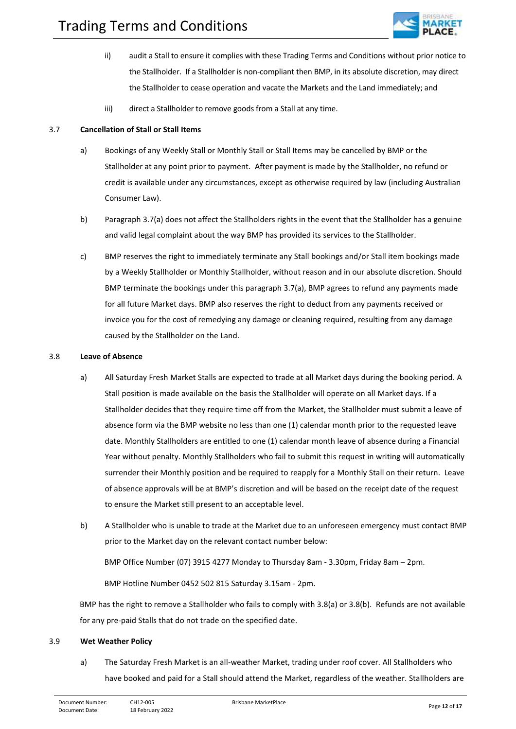

- ii) audit a Stall to ensure it complies with these Trading Terms and Conditions without prior notice to the Stallholder. If a Stallholder is non-compliant then BMP, in its absolute discretion, may direct the Stallholder to cease operation and vacate the Markets and the Land immediately; and
- iii) direct a Stallholder to remove goods from a Stall at any time.

#### 3.7 **Cancellation of Stall or Stall Items**

- a) Bookings of any Weekly Stall or Monthly Stall or Stall Items may be cancelled by BMP or the Stallholder at any point prior to payment. After payment is made by the Stallholder, no refund or credit is available under any circumstances, except as otherwise required by law (including Australian Consumer Law).
- b) Paragraph 3.7(a) does not affect the Stallholders rights in the event that the Stallholder has a genuine and valid legal complaint about the way BMP has provided its services to the Stallholder.
- c) BMP reserves the right to immediately terminate any Stall bookings and/or Stall item bookings made by a Weekly Stallholder or Monthly Stallholder, without reason and in our absolute discretion. Should BMP terminate the bookings under this paragraph 3.7(a), BMP agrees to refund any payments made for all future Market days. BMP also reserves the right to deduct from any payments received or invoice you for the cost of remedying any damage or cleaning required, resulting from any damage caused by the Stallholder on the Land.

#### 3.8 **Leave of Absence**

- a) All Saturday Fresh Market Stalls are expected to trade at all Market days during the booking period. A Stall position is made available on the basis the Stallholder will operate on all Market days. If a Stallholder decides that they require time off from the Market, the Stallholder must submit a leave of absence form via the BMP website no less than one (1) calendar month prior to the requested leave date. Monthly Stallholders are entitled to one (1) calendar month leave of absence during a Financial Year without penalty. Monthly Stallholders who fail to submit this request in writing will automatically surrender their Monthly position and be required to reapply for a Monthly Stall on their return. Leave of absence approvals will be at BMP's discretion and will be based on the receipt date of the request to ensure the Market still present to an acceptable level.
- b) A Stallholder who is unable to trade at the Market due to an unforeseen emergency must contact BMP prior to the Market day on the relevant contact number below:

BMP Office Number (07) 3915 4277 Monday to Thursday 8am - 3.30pm, Friday 8am – 2pm.

BMP Hotline Number 0452 502 815 Saturday 3.15am - 2pm.

BMP has the right to remove a Stallholder who fails to comply with 3.8(a) or 3.8(b). Refunds are not available for any pre-paid Stalls that do not trade on the specified date.

## 3.9 **Wet Weather Policy**

a) The Saturday Fresh Market is an all-weather Market, trading under roof cover. All Stallholders who have booked and paid for a Stall should attend the Market, regardless of the weather. Stallholders are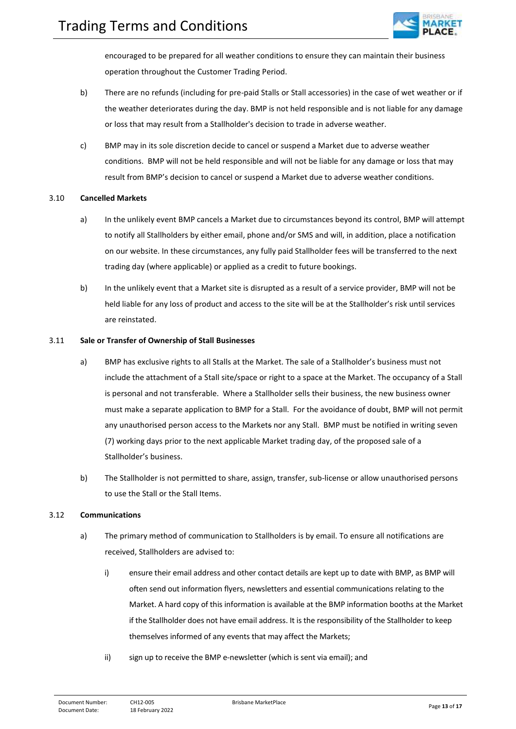

encouraged to be prepared for all weather conditions to ensure they can maintain their business operation throughout the Customer Trading Period.

- b) There are no refunds (including for pre-paid Stalls or Stall accessories) in the case of wet weather or if the weather deteriorates during the day. BMP is not held responsible and is not liable for any damage or loss that may result from a Stallholder's decision to trade in adverse weather.
- c) BMP may in its sole discretion decide to cancel or suspend a Market due to adverse weather conditions. BMP will not be held responsible and will not be liable for any damage or loss that may result from BMP's decision to cancel or suspend a Market due to adverse weather conditions.

#### 3.10 **Cancelled Markets**

- a) In the unlikely event BMP cancels a Market due to circumstances beyond its control, BMP will attempt to notify all Stallholders by either email, phone and/or SMS and will, in addition, place a notification on our website. In these circumstances, any fully paid Stallholder fees will be transferred to the next trading day (where applicable) or applied as a credit to future bookings.
- b) In the unlikely event that a Market site is disrupted as a result of a service provider, BMP will not be held liable for any loss of product and access to the site will be at the Stallholder's risk until services are reinstated.

#### 3.11 **Sale or Transfer of Ownership of Stall Businesses**

- a) BMP has exclusive rights to all Stalls at the Market. The sale of a Stallholder's business must not include the attachment of a Stall site/space or right to a space at the Market. The occupancy of a Stall is personal and not transferable. Where a Stallholder sells their business, the new business owner must make a separate application to BMP for a Stall. For the avoidance of doubt, BMP will not permit any unauthorised person access to the Markets nor any Stall. BMP must be notified in writing seven (7) working days prior to the next applicable Market trading day, of the proposed sale of a Stallholder's business.
- b) The Stallholder is not permitted to share, assign, transfer, sub-license or allow unauthorised persons to use the Stall or the Stall Items.

#### 3.12 **Communications**

- a) The primary method of communication to Stallholders is by email. To ensure all notifications are received, Stallholders are advised to:
	- i) ensure their email address and other contact details are kept up to date with BMP, as BMP will often send out information flyers, newsletters and essential communications relating to the Market. A hard copy of this information is available at the BMP information booths at the Market if the Stallholder does not have email address. It is the responsibility of the Stallholder to keep themselves informed of any events that may affect the Markets;
	- ii) sign up to receive the BMP e-newsletter (which is sent via email); and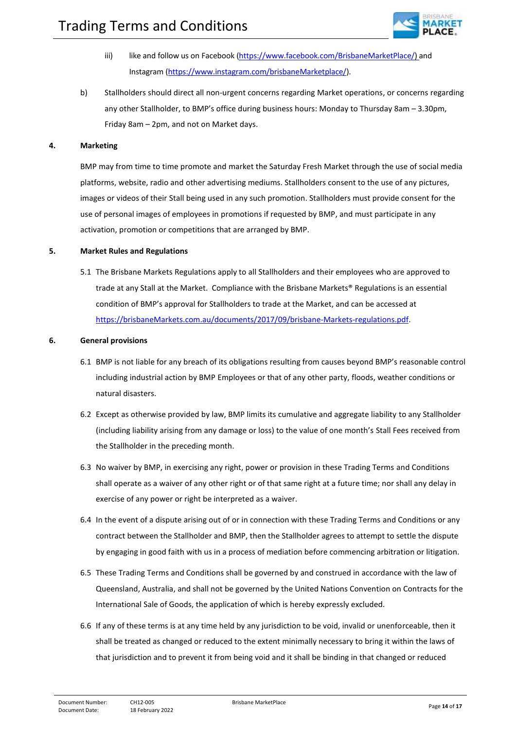

- iii) like and follow us on Facebook [\(https://www.facebook.com/BrisbaneMarketPlace/\)](https://www.facebook.com/BrisbaneMarketPlace/) and Instagram [\(https://www.instagram.com/brisbaneMarketplace/\)](https://www.instagram.com/brisbanemarketplace/).
- b) Stallholders should direct all non-urgent concerns regarding Market operations, or concerns regarding any other Stallholder, to BMP's office during business hours: Monday to Thursday 8am – 3.30pm, Friday 8am – 2pm, and not on Market days.

#### <span id="page-13-0"></span>**4. Marketing**

BMP may from time to time promote and market the Saturday Fresh Market through the use of social media platforms, website, radio and other advertising mediums. Stallholders consent to the use of any pictures, images or videos of their Stall being used in any such promotion. Stallholders must provide consent for the use of personal images of employees in promotions if requested by BMP, and must participate in any activation, promotion or competitions that are arranged by BMP.

#### <span id="page-13-1"></span>**5. Market Rules and Regulations**

5.1 The Brisbane Markets Regulations apply to all Stallholders and their employees who are approved to trade at any Stall at the Market. Compliance with the Brisbane Markets® Regulations is an essential condition of BMP's approval for Stallholders to trade at the Market, and can be accessed at [https://brisbaneMarkets.com.au/documents/2017/09/brisbane-Markets-regulations.pdf.](https://brisbanemarkets.com.au/documents/2017/09/brisbane-markets-regulations.pdf)

#### <span id="page-13-2"></span>**6. General provisions**

- 6.1 BMP is not liable for any breach of its obligations resulting from causes beyond BMP's reasonable control including industrial action by BMP Employees or that of any other party, floods, weather conditions or natural disasters.
- 6.2 Except as otherwise provided by law, BMP limits its cumulative and aggregate liability to any Stallholder (including liability arising from any damage or loss) to the value of one month's Stall Fees received from the Stallholder in the preceding month.
- 6.3 No waiver by BMP, in exercising any right, power or provision in these Trading Terms and Conditions shall operate as a waiver of any other right or of that same right at a future time; nor shall any delay in exercise of any power or right be interpreted as a waiver.
- 6.4 In the event of a dispute arising out of or in connection with these Trading Terms and Conditions or any contract between the Stallholder and BMP, then the Stallholder agrees to attempt to settle the dispute by engaging in good faith with us in a process of mediation before commencing arbitration or litigation.
- 6.5 These Trading Terms and Conditions shall be governed by and construed in accordance with the law of Queensland, Australia, and shall not be governed by the United Nations Convention on Contracts for the International Sale of Goods, the application of which is hereby expressly excluded.
- 6.6 If any of these terms is at any time held by any jurisdiction to be void, invalid or unenforceable, then it shall be treated as changed or reduced to the extent minimally necessary to bring it within the laws of that jurisdiction and to prevent it from being void and it shall be binding in that changed or reduced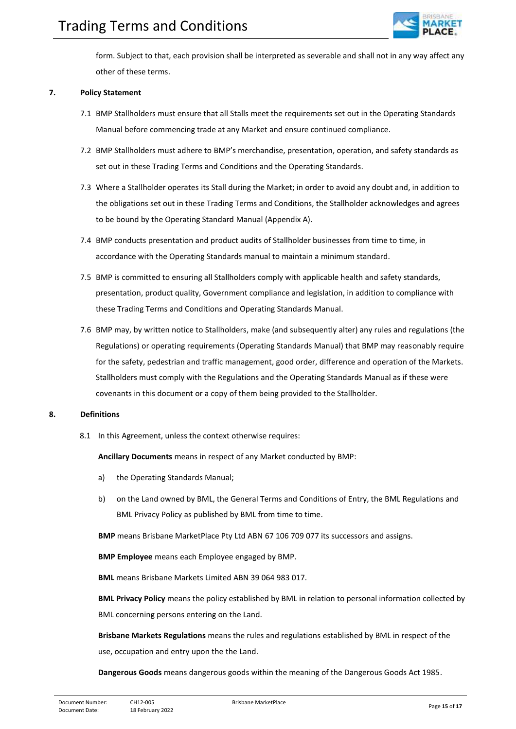

form. Subject to that, each provision shall be interpreted as severable and shall not in any way affect any other of these terms.

### <span id="page-14-0"></span>**7. Policy Statement**

- 7.1 BMP Stallholders must ensure that all Stalls meet the requirements set out in the Operating Standards Manual before commencing trade at any Market and ensure continued compliance.
- 7.2 BMP Stallholders must adhere to BMP's merchandise, presentation, operation, and safety standards as set out in these Trading Terms and Conditions and the Operating Standards.
- 7.3 Where a Stallholder operates its Stall during the Market; in order to avoid any doubt and, in addition to the obligations set out in these Trading Terms and Conditions, the Stallholder acknowledges and agrees to be bound by the Operating Standard Manual (Appendix A).
- 7.4 BMP conducts presentation and product audits of Stallholder businesses from time to time, in accordance with the Operating Standards manual to maintain a minimum standard.
- 7.5 BMP is committed to ensuring all Stallholders comply with applicable health and safety standards, presentation, product quality, Government compliance and legislation, in addition to compliance with these Trading Terms and Conditions and Operating Standards Manual.
- 7.6 BMP may, by written notice to Stallholders, make (and subsequently alter) any rules and regulations (the Regulations) or operating requirements (Operating Standards Manual) that BMP may reasonably require for the safety, pedestrian and traffic management, good order, difference and operation of the Markets. Stallholders must comply with the Regulations and the Operating Standards Manual as if these were covenants in this document or a copy of them being provided to the Stallholder.

## <span id="page-14-1"></span>**8. Definitions**

8.1 In this Agreement, unless the context otherwise requires:

**Ancillary Documents** means in respect of any Market conducted by BMP:

- a) the Operating Standards Manual;
- b) on the Land owned by BML, the General Terms and Conditions of Entry, the BML Regulations and BML Privacy Policy as published by BML from time to time.

**BMP** means Brisbane MarketPlace Pty Ltd ABN 67 106 709 077 its successors and assigns.

**BMP Employee** means each Employee engaged by BMP.

**BML** means Brisbane Markets Limited ABN 39 064 983 017.

**BML Privacy Policy** means the policy established by BML in relation to personal information collected by BML concerning persons entering on the Land.

**Brisbane Markets Regulations** means the rules and regulations established by BML in respect of the use, occupation and entry upon the the Land.

**Dangerous Goods** means dangerous goods within the meaning of the Dangerous Goods Act 1985.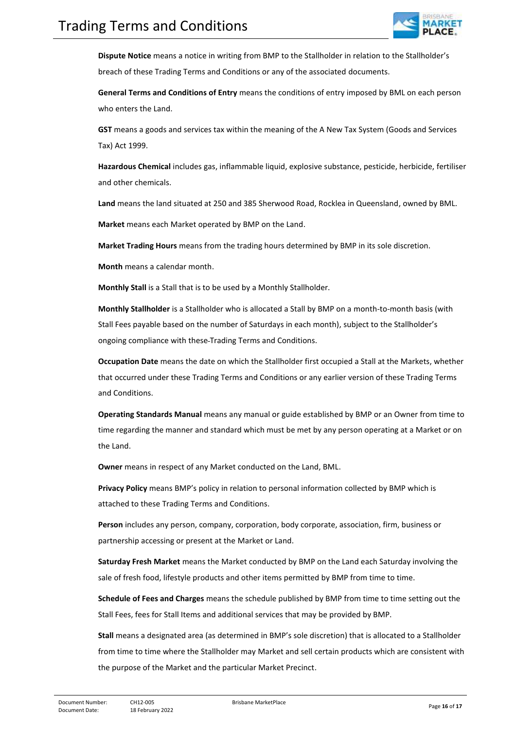

**Dispute Notice** means a notice in writing from BMP to the Stallholder in relation to the Stallholder's breach of these Trading Terms and Conditions or any of the associated documents.

**General Terms and Conditions of Entry** means the conditions of entry imposed by BML on each person who enters the Land.

**GST** means a goods and services tax within the meaning of the A New Tax System (Goods and Services Tax) Act 1999.

**Hazardous Chemical** includes gas, inflammable liquid, explosive substance, pesticide, herbicide, fertiliser and other chemicals.

**Land** means the land situated at 250 and 385 Sherwood Road, Rocklea in Queensland, owned by BML.

**Market** means each Market operated by BMP on the Land.

**Market Trading Hours** means from the trading hours determined by BMP in its sole discretion.

**Month** means a calendar month.

**Monthly Stall** is a Stall that is to be used by a Monthly Stallholder.

**Monthly Stallholder** is a Stallholder who is allocated a Stall by BMP on a month-to-month basis (with Stall Fees payable based on the number of Saturdays in each month), subject to the Stallholder's ongoing compliance with these Trading Terms and Conditions.

**Occupation Date** means the date on which the Stallholder first occupied a Stall at the Markets, whether that occurred under these Trading Terms and Conditions or any earlier version of these Trading Terms and Conditions.

**Operating Standards Manual** means any manual or guide established by BMP or an Owner from time to time regarding the manner and standard which must be met by any person operating at a Market or on the Land.

**Owner** means in respect of any Market conducted on the Land, BML.

**Privacy Policy** means BMP's policy in relation to personal information collected by BMP which is attached to these Trading Terms and Conditions.

**Person** includes any person, company, corporation, body corporate, association, firm, business or partnership accessing or present at the Market or Land.

**Saturday Fresh Market** means the Market conducted by BMP on the Land each Saturday involving the sale of fresh food, lifestyle products and other items permitted by BMP from time to time.

**Schedule of Fees and Charges** means the schedule published by BMP from time to time setting out the Stall Fees, fees for Stall Items and additional services that may be provided by BMP.

**Stall** means a designated area (as determined in BMP's sole discretion) that is allocated to a Stallholder from time to time where the Stallholder may Market and sell certain products which are consistent with the purpose of the Market and the particular Market Precinct.